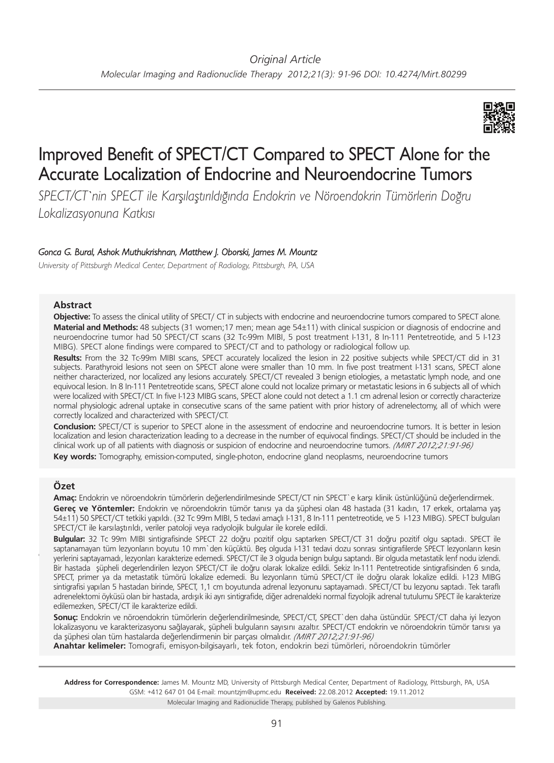

# Improved Benefit of SPECT/CT Compared to SPECT Alone for the Accurate Localization of Endocrine and Neuroendocrine Tumors

*SPECT/CT`nin SPECT ile Karşılaştırıldığında Endokrin ve Nöroendokrin Tümörlerin Doğru Lokalizasyonuna Katkısı*

# *Gonca G. Bural, Ashok Muthukrishnan, Matthew J. Oborski, James M. Mountz*

*University of Pittsburgh Medical Center, Department of Radiology, Pittsburgh, PA, USA*

#### **Abstract**

**Objective:** To assess the clinical utility of SPECT/ CT in subjects with endocrine and neuroendocrine tumors compared to SPECT alone. **Material and Methods:** 48 subjects (31 women;17 men; mean age 54±11) with clinical suspicion or diagnosis of endocrine and neuroendocrine tumor had 50 SPECT/CT scans (32 Tc-99m MIBI, 5 post treatment I-131, 8 In-111 Pentetreotide, and 5 I-123 MIBG). SPECT alone findings were compared to SPECT/CT and to pathology or radiological follow up.

**Results:** From the 32 Tc-99m MIBI scans, SPECT accurately localized the lesion in 22 positive subjects while SPECT/CT did in 31 subjects. Parathyroid lesions not seen on SPECT alone were smaller than 10 mm. In five post treatment I-131 scans, SPECT alone neither characterized, nor localized any lesions accurately. SPECT/CT revealed 3 benign etiologies, a metastatic lymph node, and one equivocal lesion. In 8 In-111 Pentetreotide scans, SPECT alone could not localize primary or metastatic lesions in 6 subjects all of which were localized with SPECT/CT. In five I-123 MIBG scans, SPECT alone could not detect a 1.1 cm adrenal lesion or correctly characterize normal physiologic adrenal uptake in consecutive scans of the same patient with prior history of adrenelectomy, all of which were correctly localized and characterized with SPECT/CT.

**Conclusion:** SPECT/CT is superior to SPECT alone in the assessment of endocrine and neuroendocrine tumors. It is better in lesion localization and lesion characterization leading to a decrease in the number of equivocal findings. SPECT/CT should be included in the clinical work up of all patients with diagnosis or suspicion of endocrine and neuroendocrine tumors. *(MIRT 2012;21:91-96)* **Key words:** Tomography, emission-computed, single-photon, endocrine gland neoplasms, neuroendocrine tumors

### **Özet**

**Amaç:** Endokrin ve nöroendokrin tümörlerin değerlendirilmesinde SPECT/CT nin SPECT`e karşı klinik üstünlüğünü değerlendirmek. **Gereç ve Yöntemler:** Endokrin ve nöroendokrin tümör tanısı ya da şüphesi olan 48 hastada (31 kadın, 17 erkek, ortalama yaş 54±11) 50 SPECT/CT tetkiki yapıldı. (32 Tc 99m MIBI, 5 tedavi amaçlı I-131, 8 In-111 pentetreotide, ve 5 I-123 MIBG). SPECT bulguları SPECT/CT ile karsılaştırıldı, veriler patoloji veya radyolojik bulgular ile korele edildi.

**Bulgular:** 32 Tc 99m MIBI sintigrafisinde SPECT 22 doğru pozitif olgu saptarken SPECT/CT 31 doğru pozitif olgu saptadı. SPECT ile saptanamayan tüm lezyonların boyutu 10 mm`den küçüktü. Beş olguda I-131 tedavi dozu sonrası sintigrafilerde SPECT lezyonların kesin yerlerini saptayamadı, lezyonları karakterize edemedi. SPECT/CT ile 3 olguda benign bulgu saptandı. Bir olguda metastatik lenf nodu izlendi. Bir hastada şüpheli degerlendirilen lezyon SPECT/CT ile doğru olarak lokalize edildi. Sekiz In-111 Pentetreotide sintigrafisinden 6 sında, SPECT, primer ya da metastatik tümörü lokalize edemedi. Bu lezyonların tümü SPECT/CT ile doğru olarak lokalize edildi. I-123 MIBG sintigrafisi yapılan 5 hastadan birinde, SPECT, 1,1 cm boyutunda adrenal lezyonunu saptayamadı. SPECT/CT bu lezyonu saptadı. Tek taraflı adrenelektomi öyküsü olan bir hastada, ardışık iki ayrı sintigrafide, diğer adrenaldeki normal fizyolojik adrenal tutulumu SPECT ile karakterize edilemezken, SPECT/CT ile karakterize edildi.

**Sonuç:** Endokrin ve nöroendokrin tümörlerin değerlendirilmesinde, SPECT/CT, SPECT`den daha üstündür. SPECT/CT daha iyi lezyon lokalizasyonu ve karakterizasyonu sağlayarak, şüpheli bulguların sayısını azaltır. SPECT/CT endokrin ve nöroendokrin tümör tanısı ya da şüphesi olan tüm hastalarda değerlendirmenin bir parçası olmalıdır. *(MIRT 2012;21:91-96)*

**Anahtar kelimeler:** Tomografi, emisyon-bilgisayarlı, tek foton, endokrin bezi tümörleri, nöroendokrin tümörler

Address for Correspondence: James M. Mountz MD, University of Pittsburgh Medical Center, Department of Radiology, Pittsburgh, PA, USA GSM: +412 647 01 04 E-mail: mountzjm@upmc.edu **Received:** 22.08.2012 **Ac cep ted:** 19.11.2012

Molecular Imaging and Radionuclide Therapy, published by Galenos Publishing.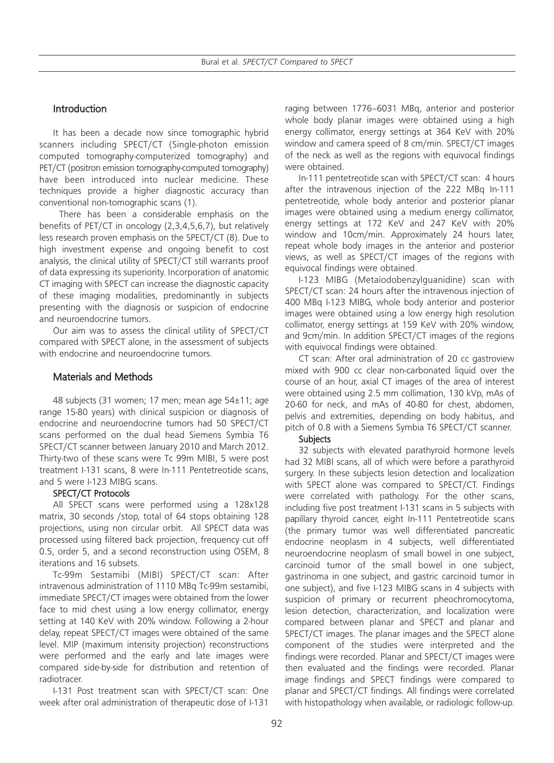## Introduction

It has been a decade now since tomographic hybrid scanners including SPECT/CT (Single-photon emission computed tomography-computerized tomography) and PET/CT (positron emission tomography-computed tomography) have been introduced into nuclear medicine. These techniques provide a higher diagnostic accuracy than conventional non-tomographic scans (1).

There has been a considerable emphasis on the benefits of PET/CT in oncology (2,3,4,5,6,7), but relatively less research proven emphasis on the SPECT/CT (8). Due to high investment expense and ongoing benefit to cost analysis, the clinical utility of SPECT/CT still warrants proof of data expressing its superiority. Incorporation of anatomic CT imaging with SPECT can increase the diagnostic capacity of these imaging modalities, predominantly in subjects presenting with the diagnosis or suspicion of endocrine and neuroendocrine tumors.

Our aim was to assess the clinical utility of SPECT/CT compared with SPECT alone, in the assessment of subjects with endocrine and neuroendocrine tumors.

## Materials and Methods

48 subjects (31 women; 17 men; mean age 54±11; age range 15-80 years) with clinical suspicion or diagnosis of endocrine and neuroendocrine tumors had 50 SPECT/CT scans performed on the dual head Siemens Symbia T6 SPECT/CT scanner between January 2010 and March 2012. Thirty-two of these scans were Tc 99m MIBI, 5 were post treatment I-131 scans, 8 were In-111 Pentetreotide scans, and 5 were I-123 MIBG scans.

### SPECT/CT Protocols

All SPECT scans were performed using a 128x128 matrix, 30 seconds /stop, total of 64 stops obtaining 128 projections, using non circular orbit. All SPECT data was processed using filtered back projection, frequency cut off 0.5, order 5, and a second reconstruction using OSEM, 8 iterations and 16 subsets.

Tc-99m Sestamibi (MIBI) SPECT/CT scan: After intravenous administration of 1110 MBq Tc-99m sestamibi, immediate SPECT/CT images were obtained from the lower face to mid chest using a low energy collimator, energy setting at 140 KeV with 20% window. Following a 2-hour delay, repeat SPECT/CT images were obtained of the same level. MIP (maximum intensity projection) reconstructions were performed and the early and late images were compared side-by-side for distribution and retention of radiotracer.

I-131 Post treatment scan with SPECT/CT scan: One week after oral administration of therapeutic dose of I-131

raging between 1776–6031 MBq, anterior and posterior whole body planar images were obtained using a high energy collimator, energy settings at 364 KeV with 20% window and camera speed of 8 cm/min. SPECT/CT images of the neck as well as the regions with equivocal findings were obtained.

In-111 pentetreotide scan with SPECT/CT scan: 4 hours after the intravenous injection of the 222 MBq In-111 pentetreotide, whole body anterior and posterior planar images were obtained using a medium energy collimator, energy settings at 172 KeV and 247 KeV with 20% window and 10cm/min. Approximately 24 hours later, repeat whole body images in the anterior and posterior views, as well as SPECT/CT images of the regions with equivocal findings were obtained.

I-123 MIBG (Metaiodobenzylguanidine) scan with SPECT/CT scan: 24 hours after the intravenous injection of 400 MBq I-123 MIBG, whole body anterior and posterior images were obtained using a low energy high resolution collimator, energy settings at 159 KeV with 20% window, and 9cm/min. In addition SPECT/CT images of the regions with equivocal findings were obtained.

CT scan: After oral administration of 20 cc gastroview mixed with 900 cc clear non-carbonated liquid over the course of an hour, axial CT images of the area of interest were obtained using 2.5 mm collimation, 130 kVp, mAs of 20-60 for neck, and mAs of 40-80 for chest, abdomen, pelvis and extremities, depending on body habitus, and pitch of 0.8 with a Siemens Symbia T6 SPECT/CT scanner.

### **Subjects**

32 subjects with elevated parathyroid hormone levels had 32 MIBI scans, all of which were before a parathyroid surgery. In these subjects lesion detection and localization with SPECT alone was compared to SPECT/CT. Findings were correlated with pathology. For the other scans, including five post treatment I-131 scans in 5 subjects with papillary thyroid cancer, eight In-111 Pentetreotide scans (the primary tumor was well differentiated pancreatic endocrine neoplasm in 4 subjects, well differentiated neuroendocrine neoplasm of small bowel in one subject, carcinoid tumor of the small bowel in one subject, gastrinoma in one subject, and gastric carcinoid tumor in one subject), and five I-123 MIBG scans in 4 subjects with suspicion of primary or recurrent pheochromocytoma, lesion detection, characterization, and localization were compared between planar and SPECT and planar and SPECT/CT images. The planar images and the SPECT alone component of the studies were interpreted and the findings were recorded. Planar and SPECT/CT images were then evaluated and the findings were recorded. Planar image findings and SPECT findings were compared to planar and SPECT/CT findings. All findings were correlated with histopathology when available, or radiologic follow-up.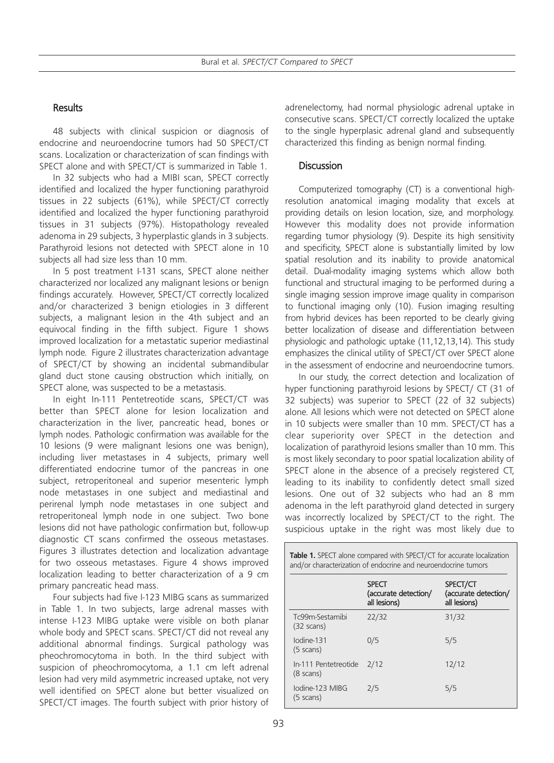## **Results**

48 subjects with clinical suspicion or diagnosis of endocrine and neuroendocrine tumors had 50 SPECT/CT scans. Localization or characterization of scan findings with SPECT alone and with SPECT/CT is summarized in Table 1.

In 32 subjects who had a MIBI scan, SPECT correctly identified and localized the hyper functioning parathyroid tissues in 22 subjects (61%), while SPECT/CT correctly identified and localized the hyper functioning parathyroid tissues in 31 subjects (97%). Histopathology revealed adenoma in 29 subjects, 3 hyperplastic glands in 3 subjects. Parathyroid lesions not detected with SPECT alone in 10 subjects all had size less than 10 mm.

In 5 post treatment I-131 scans, SPECT alone neither characterized nor localized any malignant lesions or benign findings accurately. However, SPECT/CT correctly localized and/or characterized 3 benign etiologies in 3 different subjects, a malignant lesion in the 4th subject and an equivocal finding in the fifth subject. Figure 1 shows improved localization for a metastatic superior mediastinal lymph node. Figure 2 illustrates characterization advantage of SPECT/CT by showing an incidental submandibular gland duct stone causing obstruction which initially, on SPECT alone, was suspected to be a metastasis.

In eight In-111 Pentetreotide scans, SPECT/CT was better than SPECT alone for lesion localization and characterization in the liver, pancreatic head, bones or lymph nodes. Pathologic confirmation was available for the 10 lesions (9 were malignant lesions one was benign), including liver metastases in 4 subjects, primary well differentiated endocrine tumor of the pancreas in one subject, retroperitoneal and superior mesenteric lymph node metastases in one subject and mediastinal and perirenal lymph node metastases in one subject and retroperitoneal lymph node in one subject. Two bone lesions did not have pathologic confirmation but, follow-up diagnostic CT scans confirmed the osseous metastases. Figures 3 illustrates detection and localization advantage for two osseous metastases. Figure 4 shows improved localization leading to better characterization of a 9 cm primary pancreatic head mass.

Four subjects had five I-123 MIBG scans as summarized in Table 1. In two subjects, large adrenal masses with intense I-123 MIBG uptake were visible on both planar whole body and SPECT scans. SPECT/CT did not reveal any additional abnormal findings. Surgical pathology was pheochromocytoma in both. In the third subject with suspicion of pheochromocytoma, a 1.1 cm left adrenal lesion had very mild asymmetric increased uptake, not very well identified on SPECT alone but better visualized on SPECT/CT images. The fourth subject with prior history of

adrenelectomy, had normal physiologic adrenal uptake in consecutive scans. SPECT/CT correctly localized the uptake to the single hyperplasic adrenal gland and subsequently characterized this finding as benign normal finding.

## Discussion

Computerized tomography (CT) is a conventional highresolution anatomical imaging modality that excels at providing details on lesion location, size, and morphology. However this modality does not provide information regarding tumor physiology (9). Despite its high sensitivity and specificity, SPECT alone is substantially limited by low spatial resolution and its inability to provide anatomical detail. Dual-modality imaging systems which allow both functional and structural imaging to be performed during a single imaging session improve image quality in comparison to functional imaging only (10). Fusion imaging resulting from hybrid devices has been reported to be clearly giving better localization of disease and differentiation between physiologic and pathologic uptake (11,12,13,14). This study emphasizes the clinical utility of SPECT/CT over SPECT alone in the assessment of endocrine and neuroendocrine tumors.

In our study, the correct detection and localization of hyper functioning parathyroid lesions by SPECT/ CT (31 of 32 subjects) was superior to SPECT (22 of 32 subjects) alone. All lesions which were not detected on SPECT alone in 10 subjects were smaller than 10 mm. SPECT/CT has a clear superiority over SPECT in the detection and localization of parathyroid lesions smaller than 10 mm. This is most likely secondary to poor spatial localization ability of SPECT alone in the absence of a precisely registered CT, leading to its inability to confidently detect small sized lesions. One out of 32 subjects who had an 8 mm adenoma in the left parathyroid gland detected in surgery was incorrectly localized by SPECT/CT to the right. The suspicious uptake in the right was most likely due to

| Table 1. SPECT alone compared with SPECT/CT for accurate localization<br>and/or characterization of endocrine and neuroendocrine tumors |                                                      |                                                  |
|-----------------------------------------------------------------------------------------------------------------------------------------|------------------------------------------------------|--------------------------------------------------|
|                                                                                                                                         | <b>SPECT</b><br>(accurate detection/<br>all lesions) | SPECT/CT<br>(accurate detection/<br>all lesions) |
| Tc99m-Sestamibi<br>$(32 \text{ scans})$                                                                                                 | 22/32                                                | 31/32                                            |
| Iodine-131<br>$(5$ scans)                                                                                                               | 0/5                                                  | 5/5                                              |
| In-111 Pentetreotide<br>$(8 \text{ scans})$                                                                                             | 2/12                                                 | 12/12                                            |
| lodine-123 MIBG<br>$(5$ scans)                                                                                                          | 2/5                                                  | 5/5                                              |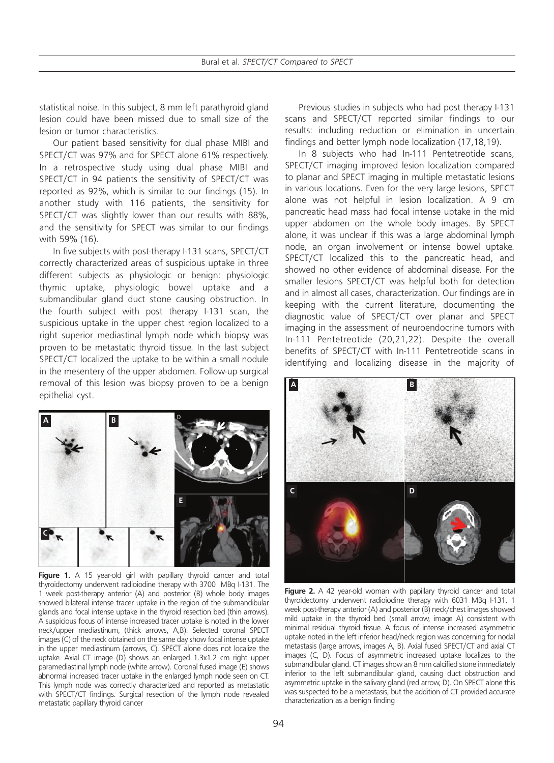statistical noise. In this subject, 8 mm left parathyroid gland lesion could have been missed due to small size of the lesion or tumor characteristics.

Our patient based sensitivity for dual phase MIBI and SPECT/CT was 97% and for SPECT alone 61% respectively. In a retrospective study using dual phase MIBI and SPECT/CT in 94 patients the sensitivity of SPECT/CT was reported as 92%, which is similar to our findings (15). In another study with 116 patients, the sensitivity for SPECT/CT was slightly lower than our results with 88%, and the sensitivity for SPECT was similar to our findings with 59% (16).

In five subjects with post-therapy I-131 scans, SPECT/CT correctly characterized areas of suspicious uptake in three different subjects as physiologic or benign: physiologic thymic uptake, physiologic bowel uptake and a submandibular gland duct stone causing obstruction. In the fourth subject with post therapy I-131 scan, the suspicious uptake in the upper chest region localized to a right superior mediastinal lymph node which biopsy was proven to be metastatic thyroid tissue. In the last subject SPECT/CT localized the uptake to be within a small nodule in the mesentery of the upper abdomen. Follow-up surgical removal of this lesion was biopsy proven to be a benign epithelial cyst.



Figure 1. A 15 year-old girl with papillary thyroid cancer and total thyroidectomy underwent radioiodine therapy with 3700 MBq I-131. The 1 week post-therapy anterior (A) and posterior (B) whole body images showed bilateral intense tracer uptake in the region of the submandibular glands and focal intense uptake in the thyroid resection bed (thin arrows). A suspicious focus of intense increased tracer uptake is noted in the lower neck/upper mediastinum, (thick arrows, A,B). Selected coronal SPECT images (C) of the neck obtained on the same day show focal intense uptake in the upper mediastinum (arrows, C). SPECT alone does not localize the uptake. Axial CT image (D) shows an enlarged 1.3x1.2 cm right upper paramediastinal lymph node (white arrow). Coronal fused image (E) shows abnormal increased tracer uptake in the enlarged lymph node seen on CT. This lymph node was correctly characterized and reported as metastatic with SPECT/CT findings. Surgical resection of the lymph node revealed metastatic papillary thyroid cancer

Previous studies in subjects who had post therapy I-131 scans and SPECT/CT reported similar findings to our results: including reduction or elimination in uncertain findings and better lymph node localization (17,18,19).

In 8 subjects who had In-111 Pentetreotide scans, SPECT/CT imaging improved lesion localization compared to planar and SPECT imaging in multiple metastatic lesions in various locations. Even for the very large lesions, SPECT alone was not helpful in lesion localization. A 9 cm pancreatic head mass had focal intense uptake in the mid upper abdomen on the whole body images. By SPECT alone, it was unclear if this was a large abdominal lymph node, an organ involvement or intense bowel uptake. SPECT/CT localized this to the pancreatic head, and showed no other evidence of abdominal disease. For the smaller lesions SPECT/CT was helpful both for detection and in almost all cases, characterization. Our findings are in keeping with the current literature, documenting the diagnostic value of SPECT/CT over planar and SPECT imaging in the assessment of neuroendocrine tumors with In-111 Pentetreotide (20,21,22). Despite the overall benefits of SPECT/CT with In-111 Pentetreotide scans in identifying and localizing disease in the majority of



Figure 2. A 42 year-old woman with papillary thyroid cancer and total thyroidectomy underwent radioiodine therapy with 6031 MBq I-131. 1 week post-therapy anterior (A) and posterior (B) neck/chest images showed mild uptake in the thyroid bed (small arrow, image A) consistent with minimal residual thyroid tissue. A focus of intense increased asymmetric uptake noted in the left inferior head/neck region was concerning for nodal metastasis (large arrows, images A, B). Axial fused SPECT/CT and axial CT images (C, D). Focus of asymmetric increased uptake localizes to the submandibular gland. CT images show an 8 mm calcified stone immediately inferior to the left submandibular gland, causing duct obstruction and asymmetric uptake in the salivary gland (red arrow, D). On SPECT alone this was suspected to be a metastasis, but the addition of CT provided accurate characterization as a benign finding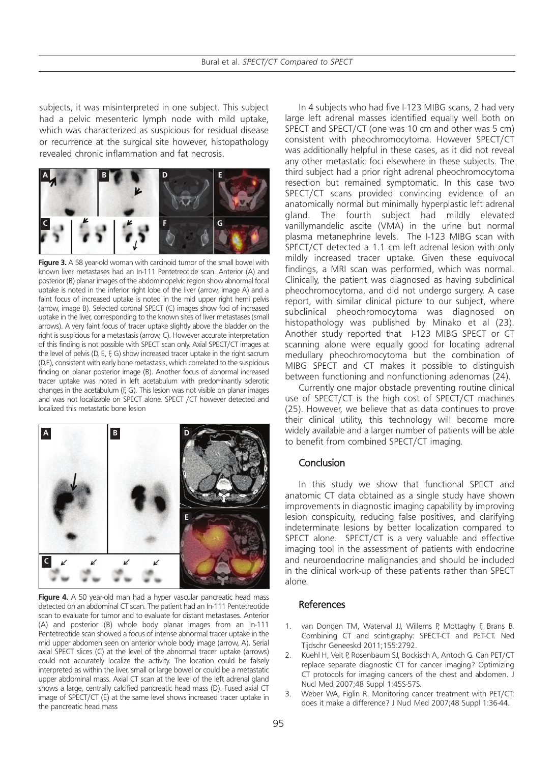subjects, it was misinterpreted in one subject. This subject had a pelvic mesenteric lymph node with mild uptake, which was characterized as suspicious for residual disease or recurrence at the surgical site however, histopathology revealed chronic inflammation and fat necrosis.



**Figure 3.** A 58 year-old woman with carcinoid tumor of the small bowel with known liver metastases had an In-111 Pentetreotide scan. Anterior (A) and posterior (B) planar images of the abdominopelvic region show abnormal focal uptake is noted in the inferior right lobe of the liver (arrow, image A) and a faint focus of increased uptake is noted in the mid upper right hemi pelvis (arrow, image B). Selected coronal SPECT (C) images show foci of increased uptake in the liver, corresponding to the known sites of liver metastases (small arrows). A very faint focus of tracer uptake slightly above the bladder on the right is suspicious for a metastasis (arrow, C). However accurate interpretation of this finding is not possible with SPECT scan only. Axial SPECT/CT images at the level of pelvis (D, E, F, G) show increased tracer uptake in the right sacrum (D,E), consistent with early bone metastasis, which correlated to the suspicious finding on planar posterior image (B). Another focus of abnormal increased tracer uptake was noted in left acetabulum with predominantly sclerotic changes in the acetabulum (F, G). This lesion was not visible on planar images and was not localizable on SPECT alone. SPECT /CT however detected and localized this metastatic bone lesion



Figure 4. A 50 year-old man had a hyper vascular pancreatic head mass detected on an abdominal CT scan. The patient had an In-111 Pentetreotide scan to evaluate for tumor and to evaluate for distant metastases. Anterior (A) and posterior (B) whole body planar images from an In-111 Pentetreotide scan showed a focus of intense abnormal tracer uptake in the mid upper abdomen seen on anterior whole body image (arrow, A). Serial axial SPECT slices (C) at the level of the abnormal tracer uptake (arrows) could not accurately localize the activity. The location could be falsely interpreted as within the liver, small or large bowel or could be a metastatic upper abdominal mass. Axial CT scan at the level of the left adrenal gland shows a large, centrally calcified pancreatic head mass (D). Fused axial CT image of SPECT/CT (E) at the same level shows increased tracer uptake in the pancreatic head mass

In 4 subjects who had five I-123 MIBG scans, 2 had very large left adrenal masses identified equally well both on SPECT and SPECT/CT (one was 10 cm and other was 5 cm) consistent with pheochromocytoma. However SPECT/CT was additionally helpful in these cases, as it did not reveal any other metastatic foci elsewhere in these subjects. The third subject had a prior right adrenal pheochromocytoma resection but remained symptomatic. In this case two SPECT/CT scans provided convincing evidence of an anatomically normal but minimally hyperplastic left adrenal gland. The fourth subject had mildly elevated vanillymandelic ascite (VMA) in the urine but normal plasma metanephrine levels. The I-123 MIBG scan with SPECT/CT detected a 1.1 cm left adrenal lesion with only mildly increased tracer uptake. Given these equivocal findings, a MRI scan was performed, which was normal. Clinically, the patient was diagnosed as having subclinical pheochromocytoma, and did not undergo surgery. A case report, with similar clinical picture to our subject, where subclinical pheochromocytoma was diagnosed on histopathology was published by Minako et al (23). Another study reported that I-123 MIBG SPECT or CT scanning alone were equally good for locating adrenal medullary pheochromocytoma but the combination of MIBG SPECT and CT makes it possible to distinguish between functioning and nonfunctioning adenomas (24).

Currently one major obstacle preventing routine clinical use of SPECT/CT is the high cost of SPECT/CT machines (25). However, we believe that as data continues to prove their clinical utility, this technology will become more widely available and a larger number of patients will be able to benefit from combined SPECT/CT imaging.

### **Conclusion**

In this study we show that functional SPECT and anatomic CT data obtained as a single study have shown improvements in diagnostic imaging capability by improving lesion conspicuity, reducing false positives, and clarifying indeterminate lesions by better localization compared to SPECT alone. SPECT/CT is a very valuable and effective imaging tool in the assessment of patients with endocrine and neuroendocrine malignancies and should be included in the clinical work-up of these patients rather than SPECT alone.

#### References

- 1. van Dongen TM, Waterval JJ, Willems P, Mottaghy F, Brans B. Combining CT and scintigraphy: SPECT-CT and PET-CT. Ned Tijdschr Geneeskd 2011;155:2792.
- 2. Kuehl H, Veit P, Rosenbaum SJ, Bockisch A, Antoch G. Can PET/CT replace separate diagnostic CT for cancer imaging? Optimizing CT protocols for imaging cancers of the chest and abdomen. J Nucl Med 2007;48 Suppl 1:45S-57S.
- 3. Weber WA, Figlin R. Monitoring cancer treatment with PET/CT: does it make a difference? J Nucl Med 2007;48 Suppl 1:36-44.